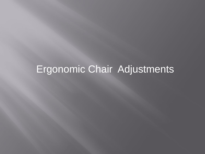# Ergonomic Chair Adjustments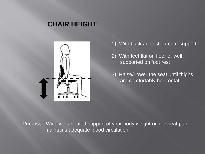### **CHAIR HEIGHT**



- 1) With back against lumbar support
- 2) With feet flat on floor or well supported on foot rest
- 3) Raise/Lower the seat until thighs are comfortably horizontal.

Purpose: Widely distributed support of your body weight on the seat pan maintains adequate blood circulation.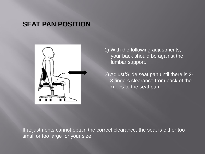#### **SEAT PAN POSITION**



- 1) With the following adjustments, your back should be against the lumbar support.
- 2) Adjust/Slide seat pan until there is 2- 3 fingers clearance from back of the knees to the seat pan.

If adjustments cannot obtain the correct clearance, the seat is either too small or too large for your size.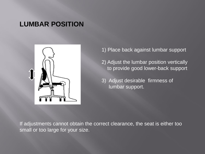#### **LUMBAR POSITION**



- 1) Place back against lumbar support
- 2) Adjust the lumbar position vertically to provide good lower-back support
- 3) Adjust desirable firmness of lumbar support.

If adjustments cannot obtain the correct clearance, the seat is either too small or too large for your size.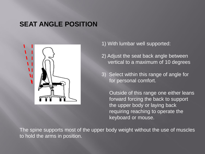## **SEAT ANGLE POSITION**



- 1) With lumbar well supported:
- 2) Adjust the seat back angle between vertical to a maximum of 10 degrees
- 3) Select within this range of angle for for personal comfort.

 Outside of this range one either leans forward forcing the back to support the upper body or laying back requiring reaching to operate the keyboard or mouse.

The spine supports most of the upper body weight without the use of muscles to hold the arms in position.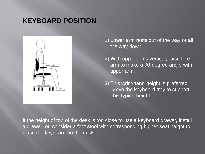# **KEYBOARD POSITION**



- 1) Lower arm rests out of the way or all the way down.
- 2) With upper arms vertical, raise fore arm to make a 90-degree angle with upper arm.
- 3) This wrist/hand height is preferred. Move the keyboard tray to support this typing height.

If the height of top of the desk is too close to use a keyboard drawer, install a drawer, or, consider a foot stool with corresponding higher seat height to place the keyboard on the desk.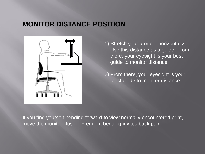## **MONITOR DISTANCE POSITION**



1) Stretch your arm out horizontally. Use this distance as a guide. From there, your eyesight is your best guide to monitor distance.

2) From there, your eyesight is your best guide to monitor distance.

If you find yourself bending forward to view normally encountered print, move the monitor closer. Frequent bending invites back pain.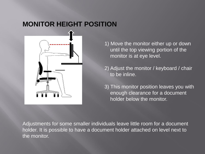# **MONITOR HEIGHT POSITION**



- 1) Move the monitor either up or down until the top viewing portion of the monitor is at eye level.
- 2) Adjust the monitor / keyboard / chair to be inline.
- 3) This monitor position leaves you with enough clearance for a document holder below the monitor.

Adjustments for some smaller individuals leave little room for a document holder. It is possible to have a document holder attached on level next to the monitor.